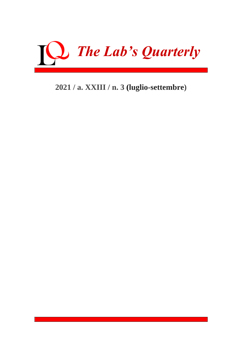

# **2021 / a. XXIII / n. 3 (luglio-settembre)**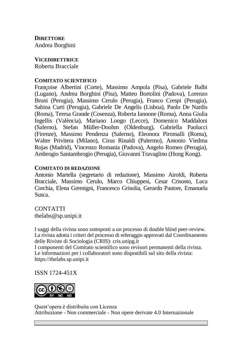**DIRETTORE** Andrea Borghini

**VICEDIRETTRICE** Roberta Bracciale

#### **COMITATO SCIENTIFICO**

Françoise Albertini (Corte), Massimo Ampola (Pisa), Gabriele Balbi (Lugano), Andrea Borghini (Pisa), Matteo Bortolini (Padova), Lorenzo Bruni (Perugia), Massimo Cerulo (Perugia), Franco Crespi (Perugia), Sabina Curti (Perugia), Gabriele De Angelis (Lisboa), Paolo De Nardis (Roma), Teresa Grande (Cosenza), Roberta Iannone (Roma), Anna Giulia Ingellis (València), Mariano Longo (Lecce), Domenico Maddaloni (Salerno), Stefan Müller-Doohm (Oldenburg), Gabriella Paolucci (Firenze), Massimo Pendenza (Salerno), Eleonora Piromalli (Roma), Walter Privitera (Milano), Cirus Rinaldi (Palermo), Antonio Viedma Rojas (Madrid), Vincenzo Romania (Padova), Angelo Romeo (Perugia), Ambrogio Santambrogio (Perugia), Giovanni Travaglino (Hong Kong).

#### **COMITATO DI REDAZIONE**

Antonio Martella (segretario di redazione), Massimo Airoldi, Roberta Bracciale, Massimo Cerulo, Marco Chiuppesi, Cesar Crisosto, Luca Corchia, Elena Gremigni, Francesco Grisolia, Gerardo Pastore, Emanuela Susca.

CONTATTI thelabs@sp.unipi.it

I saggi della rivista sono sottoposti a un processo di double blind peer-review. La rivista adotta i criteri del processo di referaggio approvati dal Coordinamento delle Riviste di Sociologia (CRIS): cris.unipg.it

I componenti del Comitato scientifico sono revisori permanenti della rivista. Le informazioni per i collaboratori sono disponibili sul sito della rivista: https://thelabs.sp.unipi.it

ISSN 1724-451X



Quest'opera è distribuita con Licenza Attribuzione - Non commerciale - Non opere derivate 4.0 Internazionale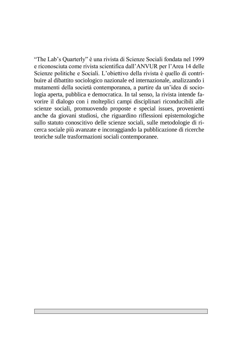"The Lab's Quarterly" è una rivista di Scienze Sociali fondata nel 1999 e riconosciuta come rivista scientifica dall'ANVUR per l'Area 14 delle Scienze politiche e Sociali. L'obiettivo della rivista è quello di contribuire al dibattito sociologico nazionale ed internazionale, analizzando i mutamenti della società contemporanea, a partire da un'idea di sociologia aperta, pubblica e democratica. In tal senso, la rivista intende favorire il dialogo con i molteplici campi disciplinari riconducibili alle scienze sociali, promuovendo proposte e special issues, provenienti anche da giovani studiosi, che riguardino riflessioni epistemologiche sullo statuto conoscitivo delle scienze sociali, sulle metodologie di ricerca sociale più avanzate e incoraggiando la pubblicazione di ricerche teoriche sulle trasformazioni sociali contemporanee.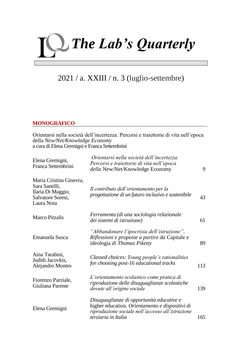

## 2021 / a. XXIII / n. 3 (luglio-settembre)

#### **MONOGRAFICO**

Orientarsi nella società dell'incertezza. Percorsi e traiettorie di vita nell'epoca della *New/Net/Knowledge Economy* a cura di Elena Gremigni e Franca Settembrini

| Elena Gremigni,<br>Franca Settembrini                                                             | Orientarsi nella società dell'incertezza.<br>Percorsi e traiettorie di vita nell'epoca<br>della New/Net/Knowledge Economy                                               | 9   |
|---------------------------------------------------------------------------------------------------|-------------------------------------------------------------------------------------------------------------------------------------------------------------------------|-----|
| Maria Cristina Ginevra,<br>Sara Santilli.<br>Ilaria Di Maggio,<br>Salvatore Soresi,<br>Laura Nota | Il contributo dell'orientamento per la<br>progettazione di un futuro inclusivo e sostenibile                                                                            | 43  |
| Marco Pitzalis                                                                                    | Ferramenta (di una sociologia relazionale<br>dei sistemi di istruzione)                                                                                                 | 61  |
| Emanuela Susca                                                                                    | "Abbandonare l'ipocrisia dell'istruzione".<br>Riflessioni e proposte a partire da Capitale e<br>ideologia di Thomas Piketty                                             | 89  |
| Aina Tarabini,<br>Judith Jacovkis,<br>Alejandro Montes                                            | Classed choices: Young people's rationalities<br>for choosing post-16 educational tracks                                                                                | 113 |
| Fiorenzo Parziale,<br>Giuliana Parente                                                            | L'orientamento scolastico come pratica di<br>riproduzione delle disuguaglianze scolastiche<br>dovute all'origine sociale                                                | 139 |
| Elena Gremigni                                                                                    | Disuguaglianze di opportunità educative e<br>higher education. Orientamento e dispositivi di<br>riproduzione sociale nell'accesso all'istruzione<br>terziaria in Italia | 165 |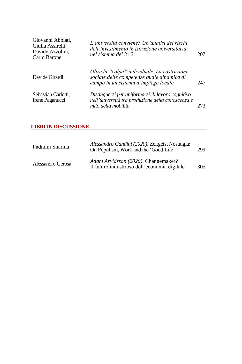| Giovanni Abbiati,<br>Giulia Assirelli,<br>Davide Azzolini,<br>Carlo Barone | L'università conviene? Un'analisi dei rischi<br>dell'investimento in istruzione universitaria<br>nel sistema del $3+2$             | 207 |
|----------------------------------------------------------------------------|------------------------------------------------------------------------------------------------------------------------------------|-----|
| Davide Girardi                                                             | Oltre la "colpa" individuale. La costruzione<br>sociale delle competenze quale dinamica di<br>campo in un sistema d'impiego locale | 247 |
| Sebastian Carlotti,<br>Irene Paganucci                                     | Distinguersi per uniformarsi. Il lavoro cognitivo<br>nell'università tra produzione della conoscenza e<br>mito della mobilità      | 273 |

## **LIBRI IN DISCUSSIONE**

| Padmini Sharma    | Alessandro Gandini (2020). Zeitgeist Nostalgia:<br>On Populism, Work and the 'Good Life' | 299 |
|-------------------|------------------------------------------------------------------------------------------|-----|
| Alessandro Gerosa | Adam Arvidsson (2020). Changemaker?<br>Il futuro industrioso dell'economia digitale      | 305 |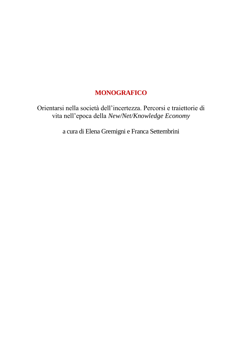## **MONOGRAFICO**

Orientarsi nella società dell'incertezza. Percorsi e traiettorie di vita nell'epoca della *New/Net/Knowledge Economy*

a cura di Elena Gremigni e Franca Settembrini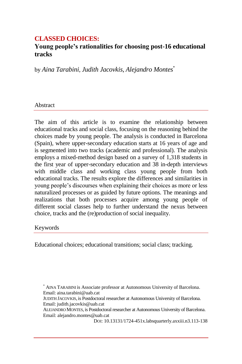## **CLASSED CHOICES:**

## **Young people's rationalities for choosing post-16 educational tracks**

by *Aina Tarabini*, *Judith Jacovkis*, *Alejandro Montes*\*

### Abstract

The aim of this article is to examine the relationship between educational tracks and social class, focusing on the reasoning behind the choices made by young people. The analysis is conducted in Barcelona (Spain), where upper-secondary education starts at 16 years of age and is segmented into two tracks (academic and professional). The analysis employs a mixed-method design based on a survey of 1,318 students in the first year of upper-secondary education and 38 in-depth interviews with middle class and working class young people from both educational tracks. The results explore the differences and similarities in young people's discourses when explaining their choices as more or less naturalized processes or as guided by future options. The meanings and realizations that both processes acquire among young people of different social classes help to further understand the nexus between choice, tracks and the (re)production of social inequality.

## Keywords

Educational choices; educational transitions; social class; tracking.

DOI[: 10.13131/1724-451x.labsquarterly.axxiii.n3.113-138](https://doi.org/10.13131/1724-451x.labsquarterly.axxiii.n3.113-138)

<sup>\*</sup> AINA TARABINI is Associate professor at Autonomous University of Barcelona. Email: aina.tarabini@uab.cat

JUDITH JACOVKIS, is Postdoctoral researcher at Autonomous University of Barcelona. Email: judith.jacovkis@uab.cat

ALEJANDRO MONTES, is Postdoctoral researcher at Autonomous University of Barcelona. Email: alejandro.montes@uab.cat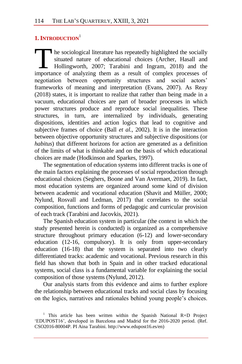## **1.INTRODUCTION**<sup>1</sup>

**h** he sociological literature has repeatedly highlighted the socially situated nature of educational choices (Archer, Hasall and Hollingworth, 2007; Tarabini and Ingram, 2018) and the In the sociological literature has repeatedly highlighted the socially situated nature of educational choices (Archer, Hasall and Hollingworth, 2007; Tarabini and Ingram, 2018) and the importance of analyzing them as a res negotiation between opportunity structures and social actors' frameworks of meaning and interpretation (Evans, 2007). As Reay (2018) states, it is important to realize that rather than being made in a vacuum, educational choices are part of broader processes in which power structures produce and reproduce social inequalities. These structures, in turn, are internalized by individuals, generating dispositions, identities and action logics that lead to cognitive and subjective frames of choice (Ball *et al.*, 2002). It is in the interaction between objective opportunity structures and subjective dispositions (or *habitus*) that different horizons for action are generated as a definition of the limits of what is thinkable and on the basis of which educational choices are made (Hodkinson and Sparkes, 1997).

The segmentation of education systems into different tracks is one of the main factors explaining the processes of social reproduction through educational choices (Seghers, Boone and Van Avermaet, 2019). In fact, most education systems are organized around some kind of division between academic and vocational education (Shavit and Müller, 2000; Nylund, Rosvall and Ledman, 2017) that correlates to the social composition, functions and forms of pedagogic and curricular provision of each track (Tarabini and Jacovkis, 2021).

The Spanish education system in particular (the context in which the study presented herein is conducted) is organized as a comprehensive structure throughout primary education (6-12) and lower-secondary education (12-16, compulsory). It is only from upper-secondary education (16-18) that the system is separated into two clearly differentiated tracks: academic and vocational. Previous research in this field has shown that both in Spain and in other tracked educational systems, social class is a fundamental variable for explaining the social composition of those systems (Nylund, 2012).

Our analysis starts from this evidence and aims to further explore the relationship between educational tracks and social class by focusing on the logics, narratives and rationales behind young people's choices.

<sup>&</sup>lt;sup>1</sup> This article has been written within the Spanish National R+D Project 'EDUPOST16', developed in Barcelona and Madrid for the 2016-2020 period. (Ref. CSO2016-80004P. PI Aina Tarabini. http://www.edupost16.es/en)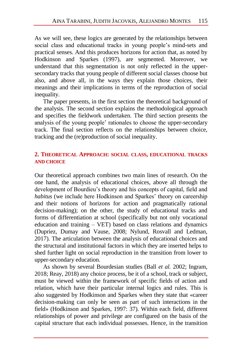As we will see, these logics are generated by the relationships between social class and educational tracks in young people's mind-sets and practical senses. And this produces horizons for action that, as noted by Hodkinson and Sparkes (1997), are segmented. Moreover, we understand that this segmentation is not only reflected in the uppersecondary tracks that young people of different social classes choose but also, and above all, in the ways they explain those choices, their meanings and their implications in terms of the reproduction of social inequality.

The paper presents, in the first section the theoretical background of the analysis. The second section explains the methodological approach and specifies the fieldwork undertaken. The third section presents the analysis of the young people' rationales to choose the upper-secondary track. The final section reflects on the relationships between choice, tracking and the (re)production of social inequality.

### **2. THEORETICAL APPROACH: SOCIAL CLASS, EDUCATIONAL TRACKS AND CHOICE**

Our theoretical approach combines two main lines of research. On the one hand, the analysis of educational choices, above all through the development of Bourdieu's theory and his concepts of capital, field and *habitus* (we include here Hodkinson and Sparkes' theory on careership and their notions of horizons for action and pragmatically rational decision-making); on the other, the study of educational tracks and forms of differentiation at school (specifically but not only vocational education and training  $-$  VET) based on class relations and dynamics (Dupriez, Dumay and Vause, 2008; Nylund, Rosvall and Ledman, 2017). The articulation between the analysis of educational choices and the structural and institutional factors in which they are inserted helps to shed further light on social reproduction in the transition from lower to upper-secondary education.

As shown by several Bourdesian studies (Ball *et al.* 2002; Ingram, 2018; Reay, 2018) any choice process, be it of a school, track or subject, must be viewed within the framework of specific fields of action and relation, which have their particular internal logics and rules. This is also suggested by Hodkinson and Sparkes when they state that «career decision-making can only be seen as part of such interactions in the field» (Hodkinson and Sparkes, 1997: 37). Within each field, different relationships of power and privilege are configured on the basis of the capital structure that each individual possesses. Hence, in the transition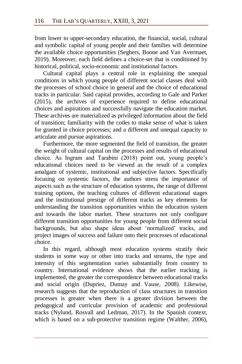from lower to upper-secondary education, the financial, social, cultural and symbolic capital of young people and their families will determine the available choice opportunities (Seghers, Boone and Van Avermaet, 2019). Moreover, each field defines a choice-set that is conditioned by historical, political, socio-economic and institutional factors.

Cultural capital plays a central role in explaining the unequal conditions in which young people of different social classes deal with the processes of school choice in general and the choice of educational tracks in particular. Said capital provides, according to Gale and Parker (2015), the archives of experience required to define educational choices and aspirations and successfully navigate the education market. These archives are materialized as privileged information about the field of transition; familiarity with the codes to make sense of what is taken for granted in choice processes; and a different and unequal capacity to articulate and pursue aspirations.

Furthermore, the more segmented the field of transition, the greater the weight of cultural capital on the processes and results of educational choice. As Ingram and Tarabini (2018) point out, young people's educational choices need to be viewed as the result of a complex amalgam of systemic, institutional and subjective factors. Specifically focusing on systemic factors, the authors stress the importance of aspects such as the structure of education systems, the range of different training options, the teaching cultures of different educational stages and the institutional prestige of different tracks as key elements for understanding the transition opportunities within the education system and towards the labor market. These structures not only configure different transition opportunities for young people from different social backgrounds, but also shape ideas about 'normalized' tracks, and project images of success and failure onto their processes of educational choice.

In this regard, although most education systems stratify their students in some way or other into tracks and streams, the type and intensity of this segmentation varies substantially from country to country. International evidence shows that the earlier tracking is implemented, the greater the correspondence between educational tracks and social origin (Dupriez, Dumay and Vause, 2008). Likewise, research suggests that the reproduction of class structures in transition processes is greater when there is a greater division between the pedagogical and curricular provision of academic and professional tracks (Nylund, Rosvall and Ledman, 2017). In the Spanish context, which is based on a sub-protective transition regime (Walther, 2006).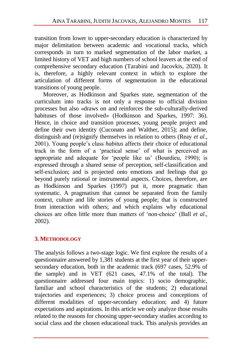transition from lower to upper-secondary education is characterized by major delimitation between academic and vocational tracks, which corresponds in turn to marked segmentation of the labor market, a limited history of VET and high numbers of school leavers at the end of comprehensive secondary education (Tarabini and Jacovkis, 2020). It is, therefore, a highly relevant context in which to explore the articulation of different forms of segmentation in the educational transitions of young people.

Moreover, as Hodkinson and Sparkes state, segmentation of the curriculum into tracks is not only a response to official division processes but also «draws on and reinforces the sub-culturally-derived habituses of those involved» (Hodkinson and Sparkes, 1997: 36). Hence, in choice and transition processes, young people project and define their own identity (Cuconato and Walther, 2015); and define, distinguish and (re)signify themselves in relation to others (Reav *et al.*, 2001). Young people's class *habitus* affects their choice of educational track in the form of a 'practical sense' of what is perceived as appropriate and adequate for 'people like us' (Bourdieu, 1990); is expressed through a shared sense of perception, self-classification and self-exclusion; and is projected onto emotions and feelings that go beyond purely rational or instrumental aspects. Choices, therefore, are as Hodkinson and Sparkes (1997) put it, more pragmatic than systematic. A pragmatism that cannot be separated from the family context, culture and life stories of young people; that is constructed from interaction with others; and which explains why educational choices are often little more than matters of 'non-choice' (Ball *et al*., 2002).

## **3. METHODOLOGY**

The analysis follows a two-stage logic. We first explore the results of a questionnaire answered by 1,381 students at the first year of their uppersecondary education, both in the academic track (697 cases, 52.9% of the sample) and in VET (621 cases, 47.1% of the total). The questionnaire addressed four main topics: 1) socio demographic, familiar and school characteristics of the students; 2) educational trajectories and experiences; 3) choice process and conceptions of different modalities of upper-secondary education; and 4) future expectations and aspirations. In this article we only analyze those results related to the reasons for choosing upper-secondary studies according to social class and the chosen educational track. This analysis provides an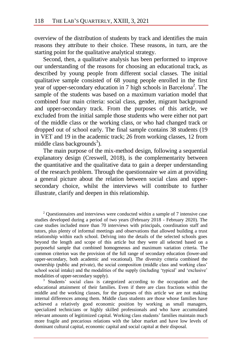overview of the distribution of students by track and identifies the main reasons they attribute to their choice. These reasons, in turn, are the starting point for the qualitative analytical strategy.

Second, then, a qualitative analysis has been performed to improve our understanding of the reasons for choosing an educational track, as described by young people from different social classes. The initial qualitative sample consisted of 68 young people enrolled in the first year of upper-secondary education in 7 high schools in Barcelona<sup>2</sup>. The sample of the students was based on a maximum variation model that combined four main criteria: social class, gender, migrant background and upper-secondary track. From the purposes of this article, we excluded from the initial sample those students who were either not part of the middle class or the working class, or who had changed track or dropped out of school early. The final sample contains 38 students (19 in VET and 19 in the academic track; 26 from working classes, 12 from middle class backgrounds<sup>3</sup>).

The main purpose of the mix-method design, following a sequential explanatory design (Creswell, 2018), is the complementarity between the quantitative and the qualitative data to gain a deeper understanding of the research problem. Through the questionnaire we aim at providing a general picture about the relation between social class and uppersecondary choice, whilst the interviews will contribute to further illustrate, clarify and deepen in this relationship.

 $2$  Ouestionnaires and interviews were conducted within a sample of 7 intensive case studies developed during a period of two years (February 2018 - February 2020). The case studies included more than 70 interviews with principals, coordination staff and tutors, plus plenty of informal meetings and observations that allowed building a trust relationship within each school. Delving into the details of the selected schools goes beyond the length and scope of this article but they were all selected based on a purposeful sample that combined homogeneous and maximum variation criteria. The common criterion was the provision of the full range of secondary education (lower-and upper-secondary, both academic and vocational). The diversity criteria combined the ownership (public and private), the social composition (middle class and working class' school social intake) and the modalities of the supply (including 'typical' and 'exclusive' modalities of upper-secondary supply).

<sup>3</sup> Students' social class is categorized according to the occupation and the educational attainment of their families. Even if there are class fractions within the middle and the working classes, for the purposes of this article we are not making internal differences among them. Middle class students are those whose families have achieved a relatively good economic position by working as small managers, specialized technicians or highly skilled professionals and who have accumulated relevant amounts of legitimized capital. Working class students' families maintain much more fragile and precarious relations with the labor market and have low levels of dominant cultural capital, economic capital and social capital at their disposal.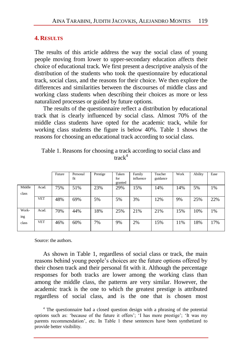### **4. RESULTS**

The results of this article address the way the social class of young people moving from lower to upper-secondary education affects their choice of educational track. We first present a descriptive analysis of the distribution of the students who took the questionnaire by educational track, social class, and the reasons for their choice. We then explore the differences and similarities between the discourses of middle class and working class students when describing their choices as more or less naturalized processes or guided by future options.

The results of the questionnaire reflect a distribution by educational track that is clearly influenced by social class. Almost 70% of the middle class students have opted for the academic track, while for working class students the figure is below 40%. Table 1 shows the reasons for choosing an educational track according to social class.

|        |            | Future | Personal | Prestige | Taken   | Family    | Teacher  | Work | Ability | Ease |
|--------|------------|--------|----------|----------|---------|-----------|----------|------|---------|------|
|        |            |        | fit      |          | for     | influence | guidance |      |         |      |
|        |            |        |          |          | granted |           |          |      |         |      |
| Middle | Acad.      | 75%    | 51%      | 23%      | 29%     | 15%       | 14%      | 14%  | 5%      | 1%   |
| class  |            |        |          |          |         |           |          |      |         |      |
|        | <b>VET</b> | 48%    | 69%      | 5%       | 5%      | 3%        | 12%      | 9%   | 25%     | 22%  |
| Work-  | Acad.      | 70%    | 44%      | 18%      | 25%     | 21%       | 21%      | 15%  | 10%     | 1%   |
| ing    |            |        |          |          |         |           |          |      |         |      |
| class  | <b>VET</b> | 46%    | 60%      | 7%       | 9%      | 2%        | 15%      | 11%  | 18%     | 17%  |
|        |            |        |          |          |         |           |          |      |         |      |

| Table 1. Reasons for choosing a track according to social class and |  |
|---------------------------------------------------------------------|--|
| track <sup>4</sup>                                                  |  |

Source: the authors.

As shown in Table 1, regardless of social class or track, the main reasons behind young people's choices are the future options offered by their chosen track and their personal fit with it. Although the percentage responses for both tracks are lower among the working class than among the middle class, the patterns are very similar. However, the academic track is the one to which the greatest prestige is attributed regardless of social class, and is the one that is chosen most

<sup>4</sup> The questionnaire had a closed question design with a phrasing of the potential options such as: 'because of the future it offers'; 'I has more prestige'; 'It was my parents recommendation', etc. In Table 1 these sentences have been synthetized to provide better visibility.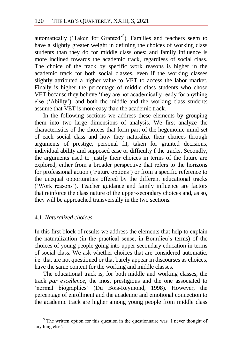automatically ('Taken for Granted'<sup>5</sup>). Families and teachers seem to have a slightly greater weight in defining the choices of working class students than they do for middle class ones; and family influence is more inclined towards the academic track, regardless of social class. The choice of the track by specific work reasons is higher in the academic track for both social classes, even if the working classes slightly attributed a higher value to VET to access the labor market. Finally is higher the percentage of middle class students who chose VET because they believe 'they are not academically ready for anything else ('Ability'), and both the middle and the working class students assume that VET is more easy than the academic track.

In the following sections we address these elements by grouping them into two large dimensions of analysis. We first analyze the characteristics of the choices that form part of the hegemonic mind-set of each social class and how they naturalize their choices through arguments of prestige, personal fit, taken for granted decisions, individual ability and supposed ease or difficulty f the tracks. Secondly, the arguments used to justify their choices in terms of the future are explored, either from a broader perspective that refers to the horizons for professional action ('Future options') or from a specific reference to the unequal opportunities offered by the different educational tracks ('Work reasons'). Teacher guidance and family influence are factors that reinforce the class nature of the upper-secondary choices and, as so, they will be approached transversally in the two sections.

#### 4.1. *Naturalized choices*

In this first block of results we address the elements that help to explain the naturalization (in the practical sense, in Bourdieu's terms) of the choices of young people going into upper-secondary education in terms of social class. We ask whether choices that are considered automatic, i.e. that are not questioned or that barely appear in discourses as choices, have the same content for the working and middle classes.

The educational track is, for both middle and working classes, the track *par excellence*, the most prestigious and the one associated to 'normal biographies' (Du Bois-Reymond, 1998). However, the percentage of enrollment and the academic and emotional connection to the academic track are higher among young people from middle class

<sup>&</sup>lt;sup>5</sup> The written option for this question in the questionnaire was 'I never thought of anything else'.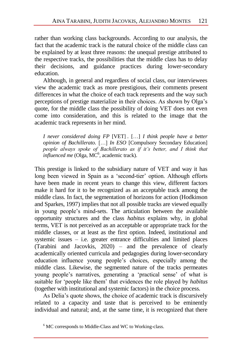rather than working class backgrounds. According to our analysis, the fact that the academic track is the natural choice of the middle class can be explained by at least three reasons: the unequal prestige attributed to the respective tracks, the possibilities that the middle class has to delay their decisions, and guidance practices during lower-secondary education.

Although, in general and regardless of social class, our interviewees view the academic track as more prestigious, their comments present differences in what the choice of each track represents and the way such perceptions of prestige materialize in their choices. As shown by Olga's quote, for the middle class the possibility of doing VET does not even come into consideration, and this is related to the image that the academic track represents in her mind.

*I never considered doing FP* [VET] *.* […] *I think people have a better opinion of Bachillerato.* […] *In ESO* [Compulsory Secondary Education] *people always spoke of Bachillerato as if it's better, and I think that influenced me* (Olga, MC 6 , academic track).

This prestige is linked to the subsidiary nature of VET and way it has long been viewed in Spain as a 'second-tier' option. Although efforts have been made in recent years to change this view, different factors make it hard for it to be recognized as an acceptable track among the middle class. In fact, the segmentation of horizons for action (Hodkinson and Sparkes, 1997) implies that not all possible tracks are viewed equally in young people's mind-sets. The articulation between the available opportunity structures and the class *habitus* explains why, in global terms, VET is not perceived as an acceptable or appropriate track for the middle classes, or at least as the first option. Indeed, institutional and systemic issues – i.e. greater entrance difficulties and limited places  $(Tarabini$  and Jacovkis,  $2020$  – and the prevalence of clearly academically oriented curricula and pedagogies during lower-secondary education influence young people's choices, especially among the middle class. Likewise, the segmented nature of the tracks permeates young people's narratives, generating a 'practical sense' of what is suitable for 'people like them' that evidences the role played by *habitus* (together with institutional and systemic factors) in the choice process.

As Delia's quote shows, the choice of academic track is discursively related to a capacity and taste that is perceived to be eminently individual and natural; and, at the same time, it is recognized that there

<sup>&</sup>lt;sup>6</sup> MC corresponds to Middle-Class and WC to Working-class.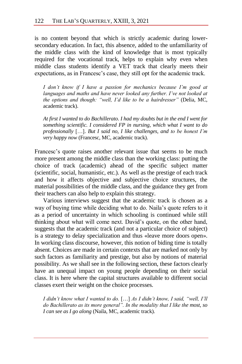is no content beyond that which is strictly academic during lowersecondary education. In fact, this absence, added to the unfamiliarity of the middle class with the kind of knowledge that is most typically required for the vocational track, helps to explain why even when middle class students identify a VET track that clearly meets their expectations, as in Francesc's case, they still opt for the academic track.

*I don't know if I have a passion for mechanics because I'm good at languages and maths and have never looked any further. I've not looked at the options and though: "well, I'd like to be a hairdresser"* (Delia, MC, academic track).

*At first I wanted to do Bachillerato. I had my doubts but in the end I went for something scientific. I considered FP in nursing, which what I want to do professionally* […]. *But I said no, I like challenges, and to be honest I'm very happy now* (Francesc, MC, academic track).

Francesc's quote raises another relevant issue that seems to be much more present among the middle class than the working class: putting the choice of track (academic) ahead of the specific subject matter (scientific, social, humanistic, etc.). As well as the prestige of each track and how it affects objective and subjective choice structures, the material possibilities of the middle class, and the guidance they get from their teachers can also help to explain this strategy.

Various interviews suggest that the academic track is chosen as a way of buying time while deciding what to do. Naila's quote refers to it as a period of uncertainty in which schooling is continued while still thinking about what will come next. David's quote, on the other hand, suggests that the academic track (and not a particular choice of subject) is a strategy to delay specialization and thus «leave more doors open». In working class discourse, however, this notion of biding time is totally absent. Choices are made in certain contexts that are marked not only by such factors as familiarity and prestige, but also by notions of material possibility. As we shall see in the following section, these factors clearly have an unequal impact on young people depending on their social class. It is here where the capital structures available to different social classes exert their weight on the choice processes.

*I didn't know what I wanted to do.* […] *As I didn't know, I said, "well, I'll do Bachillerato as its more general". In the modality that I like the most, so I can see as I go along* (Naila, MC, academic track).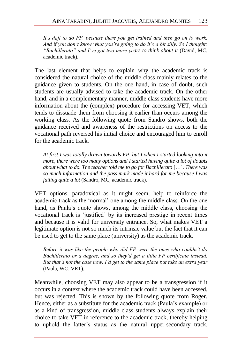*It's daft to do FP, because there you get trained and then go on to work. And if you don't know what you're going to do it's a bit silly. So I thought: "Bachillerato" and I've got two more years to think about it* (David, MC, academic track).

The last element that helps to explain why the academic track is considered the natural choice of the middle class mainly relates to the guidance given to students. On the one hand, in case of doubt, such students are usually advised to take the academic track. On the other hand, and in a complementary manner, middle class students have more information about the (complex) procedure for accessing VET, which tends to dissuade them from choosing it earlier than occurs among the working class. As the following quote from Sandro shows, both the guidance received and awareness of the restrictions on access to the vocational path reversed his initial choice and encouraged him to enroll for the academic track.

*At first I was totally drawn towards FP, but I when I started looking into it more, there were too many options and I started having quite a lot of doubts about what to do. The teacher told me to go for Bachillerato* […]. *There was so much information and the pass mark made it hard for me because I was failing quite a lot* (Sandro, MC, academic track).

VET options, paradoxical as it might seem, help to reinforce the academic track as the 'normal' one among the middle class. On the one hand, as Paula's quote shows, among the middle class, choosing the vocational track is 'justified' by its increased prestige in recent times and because it is valid for university entrance. So, what makes VET a legitimate option is not so much its intrinsic value but the fact that it can be used to get to the same place (university) as the academic track.

*Before it was like the people who did FP were the ones who couldn't do Bachillerato or a degree, and so they'd get a little FP certificate instead. But that's not the case now. I'd get to the same place but take an extra year* (Paula, WC, VET).

Meanwhile, choosing VET may also appear to be a transgression if it occurs in a context where the academic track could have been accessed, but was rejected. This is shown by the following quote from Roger. Hence, either as a substitute for the academic track (Paula's example) or as a kind of transgression, middle class students always explain their choice to take VET in reference to the academic track, thereby helping to uphold the latter's status as the natural upper-secondary track.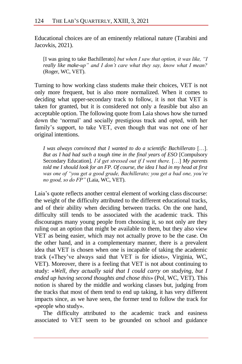Educational choices are of an eminently relational nature (Tarabini and Jacovkis, 2021).

[I was going to take Bachillerato] *but when I saw that option, it was like, "I really like make-up" and I don't care what they say, know what I mean?*  (Roger, WC, VET).

Turning to how working class students make their choices, VET is not only more frequent, but is also more normalized. When it comes to deciding what upper-secondary track to follow, it is not that VET is taken for granted, but it is considered not only a feasible but also an acceptable option. The following quote from Laia shows how she turned down the 'normal' and socially prestigious track and opted, with her family's support, to take VET, even though that was not one of her original intentions.

*I* was always convinced that *I* wanted to do a scientific Bachillerato […]. *But as I had had such a tough time in the final years of ESO* [Compulsory Secondary Education]*, I'd get stressed out if I went there.* […] *My parents told me I should look for an FP. Of course, the idea I had in my head at first was one of "you get a good grade, Bachillerato; you get a bad one, you're no good, so do FP"* (Laia, WC, VET).

Laia's quote reflects another central element of working class discourse: the weight of the difficulty attributed to the different educational tracks, and of their ability when deciding between tracks. On the one hand, difficulty still tends to be associated with the academic track. This discourages many young people from choosing it, so not only are they ruling out an option that might be available to them, but they also view VET as being easier, which may not actually prove to be the case. On the other hand, and in a complementary manner, there is a prevalent idea that VET is chosen when one is incapable of taking the academic track («They've always said that VET is for idiots», Virginia, WC, VET). Moreover, there is a feeling that VET is not about continuing to study: «*Well, they actually said that I could carry on studying, but I ended up having second thoughts and chose this*» (Pol, WC, VET). This notion is shared by the middle and working classes but, judging from the tracks that most of them tend to end up taking, it has very different impacts since, as we have seen, the former tend to follow the track for «people who study».

The difficulty attributed to the academic track and easiness associated to VET seem to be grounded on school and guidance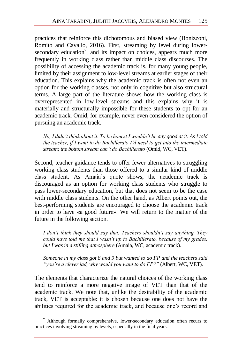practices that reinforce this dichotomous and biased view (Bonizzoni, Romito and Cavallo, 2016). First, streaming by level during lowersecondary education<sup>7</sup>, and its impact on choices, appears much more frequently in working class rather than middle class discourses. The possibility of accessing the academic track is, for many young people, limited by their assignment to low-level streams at earlier stages of their education. This explains why the academic track is often not even an option for the working classes, not only in cognitive but also structural terms. A large part of the literature shows how the working class is overrepresented in low-level streams and this explains why it is materially and structurally impossible for these students to opt for an academic track. Omid, for example, never even considered the option of pursuing an academic track.

*No, I didn't think about it. To be honest I wouldn't be any good at it. As I told the teacher, if I want to do Bachillerato I'd need to get into the intermediate stream; the bottom stream can't do Bachillerato* (Omid, WC, VET).

Second, teacher guidance tends to offer fewer alternatives to struggling working class students than those offered to a similar kind of middle class student. As Amaia's quote shows, the academic track is discouraged as an option for working class students who struggle to pass lower-secondary education, but that does not seem to be the case with middle class students. On the other hand, as Albert points out, the best-performing students are encouraged to choose the academic track in order to have «a good future». We will return to the matter of the future in the following section.

*I don't think they should say that. Teachers shouldn't say anything. They could have told me that I wasn't up to Bachillerato, because of my grades, but I was in a stifling atmosphere* (Amaia, WC, academic track).

*Someone in my class got 8 and 9 but wanted to do FP and the teachers said "you're a clever lad, why would you want to do FP?"* (Albert, WC, VET).

The elements that characterize the natural choices of the working class tend to reinforce a more negative image of VET than that of the academic track. We note that, unlike the desirability of the academic track, VET is acceptable: it is chosen because one does not have the abilities required for the academic track, and because one's record and

 $<sup>7</sup>$  Although formally comprehensive, lower-secondary education often recurs to</sup> practices involving streaming by levels, especially in the final years.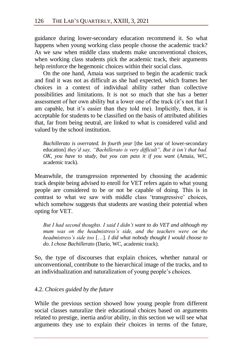guidance during lower-secondary education recommend it. So what happens when young working class people choose the academic track? As we saw when middle class students make unconventional choices, when working class students pick the academic track, their arguments help reinforce the hegemonic choices within their social class.

On the one hand, Amaia was surprised to begin the academic track and find it was not as difficult as she had expected, which frames her choices in a context of individual ability rather than collective possibilities and limitations. It is not so much that she has a better assessment of her own ability but a lower one of the track (it's not that I am capable, but it's easier than they told me). Implicitly, then, it is acceptable for students to be classified on the basis of attributed abilities that, far from being neutral, are linked to what is considered valid and valued by the school institution.

*Bachillerato is overrated. In fourth year* [the last year of lower-secondary education] *they'd say, "Bachillerato is very difficult". But it isn't that bad. OK, you have to study, but you can pass it if you want* (Amaia, WC, academic track).

Meanwhile, the transgression represented by choosing the academic track despite being advised to enroll for VET refers again to what young people are considered to be or not be capable of doing. This is in contrast to what we saw with middle class 'transgressive' choices, which somehow suggests that students are wasting their potential when opting for VET.

*But I had second thoughts. I said I didn't want to do VET and although my mum was on the headmistress's side, and the teachers were on the headmistress's side too* […]. *I did what nobody thought I would choose to do. I chose Bachillerato* (Darío, WC, academic track).

So, the type of discourses that explain choices, whether natural or unconventional, contribute to the hierarchical image of the tracks, and to an individualization and naturalization of young people's choices.

## 4.2. *Choices guided by the future*

While the previous section showed how young people from different social classes naturalize their educational choices based on arguments related to prestige, inertia and/or ability, in this section we will see what arguments they use to explain their choices in terms of the future,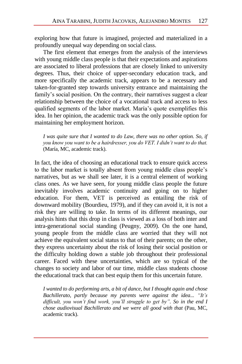exploring how that future is imagined, projected and materialized in a profoundly unequal way depending on social class.

The first element that emerges from the analysis of the interviews with young middle class people is that their expectations and aspirations are associated to liberal professions that are closely linked to university degrees. Thus, their choice of upper-secondary education track, and more specifically the academic track, appears to be a necessary and taken-for-granted step towards university entrance and maintaining the family's social position. On the contrary, their narratives suggest a clear relationship between the choice of a vocational track and access to less qualified segments of the labor market. María's quote exemplifies this idea. In her opinion, the academic track was the only possible option for maintaining her employment horizon.

*I was quite sure that I wanted to do Law, there was no other option. So, if you know you want to be a hairdresser, you do VET. I didn't want to do that.*  (María, MC, academic track).

In fact, the idea of choosing an educational track to ensure quick access to the labor market is totally absent from young middle class people's narratives, but as we shall see later, it is a central element of working class ones. As we have seen, for young middle class people the future inevitably involves academic continuity and going on to higher education. For them, VET is perceived as entailing the risk of downward mobility (Bourdieu, 1979), and if they can avoid it, it is not a risk they are willing to take. In terms of its different meanings, our analysis hints that this drop in class is viewed as a loss of both inter and intra-generational social standing (Peugny, 2009). On the one hand, young people from the middle class are worried that they will not achieve the equivalent social status to that of their parents; on the other, they express uncertainty about the risk of losing their social position or the difficulty holding down a stable job throughout their professional career. Faced with these uncertainties, which are so typical of the changes to society and labor of our time, middle class students choose the educational track that can best equip them for this uncertain future.

*I wanted to do performing arts, a bit of dance, but I thought again and chose Bachillerato, partly because my parents were against the idea... "It's difficult, you won't find work, you'll struggle to get by". So in the end I chose audiovisual Bachillerato and we were all good with that* (Pau, MC, academic track).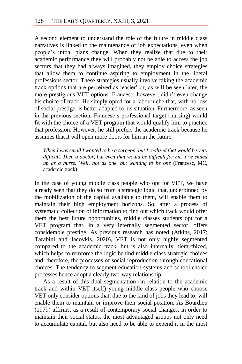A second element to understand the role of the future in middle class narratives is linked to the maintenance of job expectations, even when people's initial plans change. When they realize that due to their academic performance they will probably not be able to access the job sectors that they had always imagined, they employ choice strategies that allow them to continue aspiring to employment in the liberal professions sector. These strategies usually involve taking the academic track options that are perceived as 'easier' or, as will be seen later, the more prestigious VET options. Francesc, however, didn't even change his choice of track. He simply opted for a labor niche that, with no loss of social prestige, is better adapted to his situation. Furthermore, as seen in the previous section, Francesc's professional target (nursing) would fit with the choice of a VET program that would qualify him to practice that profession. However, he still prefers the academic track because he assumes that it will open more doors for him in the future.

*When I was small I wanted to be a surgeon, but I realized that would be very difficult. Then a doctor, but even that would be difficult for me. I've ended up as a nurse. Well, not as one, but wanting to be one* (Francesc, MC, academic track)

In the case of young middle class people who opt for VET, we have already seen that they do so from a strategic logic that, underpinned by the mobilization of the capital available to them, will enable them to maintain their high employment horizons. So, after a process of systematic collection of information to find out which track would offer them the best future opportunities, middle classes students opt for a VET program that, in a very internally segmented sector, offers considerable prestige. As previous research has noted (Atkins, 2017; Tarabini and Jacovkis, 2020), VET is not only highly segmented compared to the academic track, but is also internally hierarchized, which helps to reinforce the logic behind middle class strategic choices and, therefore, the processes of social reproduction through educational choices. The tendency to segment education systems and school choice processes hence adopt a clearly two-way relationship.

As a result of this dual segmentation (in relation to the academic track and within VET itself) young middle class people who choose VET only consider options that, due to the kind of jobs they lead to, will enable them to maintain or improve their social position. As Bourdieu (1979) affirms, as a result of contemporary social changes, in order to maintain their social status, the most advantaged groups not only need to accumulate capital, but also need to be able to expend it in the most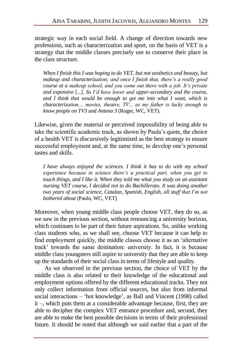strategic way in each social field. A change of direction towards new professions, such as characterization and sport, on the basis of VET is a strategy that the middle classes precisely use to conserve their place in the class structure.

*When I finish this I was hoping to do VET, but not aesthetics and beauty, but makeup and characterization; and once I finish that, there's a really good course at a makeup school, and you come out there with a job. It's private and expensive* [...]. *So I'd have lower and upper-secondary and the course, and I think that would be enough to get me into what I want, which is characterization… movies, theatre, TV... as my father is lucky enough to know people on TV3 and Antena 3* (Roger, WC, VET).

Likewise, given the material or perceived impossibility of being able to take the scientific academic track, as shown by Paula's quote, the choice of a health VET is discursively legitimized as the best strategy to ensure successful employment and, at the same time, to develop one's personal tastes and skills.

*I have always enjoyed the sciences. I think it has to do with my school experience because in science there's a practical part, when you get to touch things, and I like it. When they told me what you study on an assistant nursing VET course, I decided not to do Bachillerato. It was doing another two years of social science, Catalan, Spanish, English, all stuff that I'm not bothered about* (Paula, WC, VET)

Moreover, when young middle class people choose VET, they do so, as we saw in the previous section, without renouncing a university horizon, which continues to be part of their future aspirations. So, unlike working class students who, as we shall see, choose VET because it can help to find employment quickly, the middle classes choose it as an 'alternative track' towards the same destination: university. In fact, it is because middle class youngsters still aspire to university that they are able to keep up the standards of their social class in terms of lifestyle and quality.

As we observed in the previous section, the choice of VET by the middle class is also related to their knowledge of the educational and employment options offered by the different educational tracks. They not only collect information from official sources, but also from informal social interactions – 'hot knowledge', as Ball and Vincent (1998) called it ‒, which puts them at a considerable advantage because, first, they are able to decipher the complex VET entrance procedure and, second, they are able to make the best possible decisions in terms of their professional future. It should be noted that although we said earlier that a part of the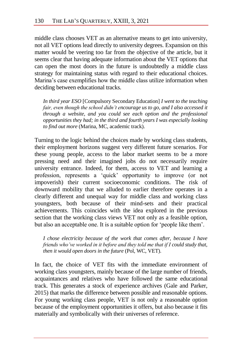middle class chooses VET as an alternative means to get into university, not all VET options lead directly to university degrees. Expansion on this matter would be veering too far from the objective of the article, but it seems clear that having adequate information about the VET options that can open the most doors in the future is undoubtedly a middle class strategy for maintaining status with regard to their educational choices. Marina's case exemplifies how the middle class utilize information when deciding between educational tracks.

*In third year ESO* [Compulsory Secondary Education] *I went to the teaching fair, even though the school didn't encourage us to go, and I also accessed it through a website, and you could see each option and the professional opportunities they had; in the third and fourth years I was especially looking to find out more* (Marina, MC, academic track).

Turning to the logic behind the choices made by working class students, their employment horizons suggest very different future scenarios. For these young people, access to the labor market seems to be a more pressing need and their imagined jobs do not necessarily require university entrance. Indeed, for them, access to VET and learning a profession, represents a 'quick' opportunity to improve (or not impoverish) their current socioeconomic conditions. The risk of downward mobility that we alluded to earlier therefore operates in a clearly different and unequal way for middle class and working class youngsters, both because of their mind-sets and their practical achievements. This coincides with the idea explored in the previous section that the working class views VET not only as a feasible option, but also an acceptable one. It is a suitable option for 'people like them'.

*I chose electricity because of the work that comes after, because I have friends who've worked in it before and they told me that if I could study that, then it would open doors in the future* (Pol, WC, VET).

In fact, the choice of VET fits with the immediate environment of working class youngsters, mainly because of the large number of friends, acquaintances and relatives who have followed the same educational track. This generates a stock of experience archives (Gale and Parker, 2015) that marks the difference between possible and reasonable options. For young working class people, VET is not only a reasonable option because of the employment opportunities it offers, but also because it fits materially and symbolically with their universes of reference.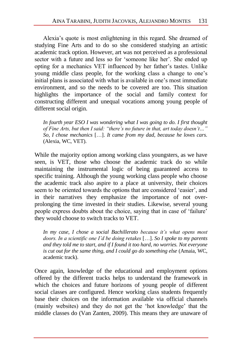Alexia's quote is most enlightening in this regard. She dreamed of studying Fine Arts and to do so she considered studying an artistic academic track option. However, art was not perceived as a professional sector with a future and less so for 'someone like her'. She ended up opting for a mechanics VET influenced by her father's tastes. Unlike young middle class people, for the working class a change to one's initial plans is associated with what is available in one's most immediate environment, and so the needs to be covered are too. This situation highlights the importance of the social and family context for constructing different and unequal vocations among young people of different social origin.

*In fourth year ESO I was wondering what I was going to do. I first thought of Fine Arts, but then I said: "there's no future in that, art today doesn't…" So, I chose mechanics* […]. *It came from my dad, because he loves cars.* (Alexia, WC, VET).

While the majority option among working class youngsters, as we have seen, is VET, those who choose the academic track do so while maintaining the instrumental logic of being guaranteed access to specific training. Although the young working class people who choose the academic track also aspire to a place at university, their choices seem to be oriented towards the options that are considered 'easier', and in their narratives they emphasize the importance of not overprolonging the time invested in their studies. Likewise, several young people express doubts about the choice, saying that in case of 'failure' they would choose to switch tracks to VET.

*In my case, I chose a social Bachillerato because it's what opens most doors. In a scientific one I'd be doing retakes* […]. *So I spoke to my parents and they told me to start, and if I found it too hard, no worries. Not everyone is cut out for the same thing, and I could go do something else* (Amaia, WC, academic track).

Once again, knowledge of the educational and employment options offered by the different tracks helps to understand the framework in which the choices and future horizons of young people of different social classes are configured. Hence working class students frequently base their choices on the information available via official channels (mainly websites) and they do not get the 'hot knowledge' that the middle classes do (Van Zanten, 2009). This means they are unaware of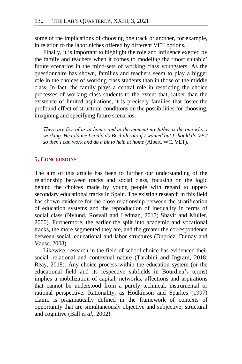some of the implications of choosing one track or another, for example, in relation to the labor niches offered by different VET options.

Finally, it is important to highlight the role and influence exerted by the family and teachers when it comes to modeling the 'most suitable' future scenarios in the mind-sets of working class youngsters. As the questionnaire has shown, families and teachers seem to play a bigger role in the choices of working class students than in those of the middle class. In fact, the family plays a central role in restricting the choice processes of working class students to the extent that, rather than the existence of limited aspirations, it is precisely families that foster the profound effect of structural conditions on the possibilities for choosing, imagining and specifying future scenarios.

*There are five of us at home, and at the moment my father is the one who's working. He told me I could do Bachillerato if I wanted but I should do VET so then I can work and do a bit to help at home* (Albert, WC, VET).

### **5. CONCLUSIONS**

The aim of this article has been to further our understanding of the relationship between tracks and social class, focusing on the logic behind the choices made by young people with regard to uppersecondary educational tracks in Spain. The existing research in this field has shown evidence for the close relationship between the stratification of education systems and the reproduction of inequality in terms of social class (Nylund, Rosvall and Ledman, 2017; Shavit and Müller, 2000). Furthermore, the earlier the split into academic and vocational tracks, the more segmented they are, and the greater the correspondence between social, educational and labor structures (Dupriez, Dumay and Vause, 2008).

Likewise, research in the field of school choice has evidenced their social, relational and contextual nature (Tarabini and Ingram, 2018; Reay, 2018). Any choice process within the education system (or the educational field and its respective subfields in Bourdieu's terms) implies a mobilization of capital, networks, affections and aspirations that cannot be understood from a purely technical, instrumental or rational perspective. Rationality, as Hodkinson and Sparkes (1997) claim, is pragmatically defined in the framework of contexts of opportunity that are simultaneously objective and subjective; structural and cognitive (Ball *et al*., 2002).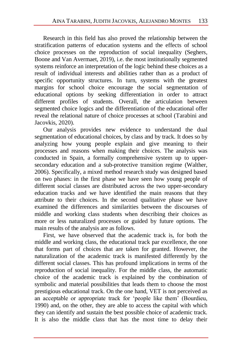Research in this field has also proved the relationship between the stratification patterns of education systems and the effects of school choice processes on the reproduction of social inequality (Seghers, Boone and Van Avermaet, 2019), i.e. the most institutionally segmented systems reinforce an interpretation of the logic behind these choices as a result of individual interests and abilities rather than as a product of specific opportunity structures. In turn, systems with the greatest margins for school choice encourage the social segmentation of educational options by seeking differentiation in order to attract different profiles of students. Overall, the articulation between segmented choice logics and the differentiation of the educational offer reveal the relational nature of choice processes at school (Tarabini and Jacovkis, 2020).

Our analysis provides new evidence to understand the dual segmentation of educational choices, by class and by track. It does so by analyzing how young people explain and give meaning to their processes and reasons when making their choices. The analysis was conducted in Spain, a formally comprehensive system up to uppersecondary education and a sub-protective transition regime (Walther, 2006). Specifically, a mixed method research study was designed based on two phases: in the first phase we have seen how young people of different social classes are distributed across the two upper-secondary education tracks and we have identified the main reasons that they attribute to their choices. In the second qualitative phase we have examined the differences and similarities between the discourses of middle and working class students when describing their choices as more or less naturalized processes or guided by future options. The main results of the analysis are as follows.

First, we have observed that the academic track is, for both the middle and working class, the educational track par excellence, the one that forms part of choices that are taken for granted. However, the naturalization of the academic track is manifested differently by the different social classes. This has profound implications in terms of the reproduction of social inequality. For the middle class, the automatic choice of the academic track is explained by the combination of symbolic and material possibilities that leads them to choose the most prestigious educational track. On the one hand, VET is not perceived as an acceptable or appropriate track for 'people like them' (Bourdieu, 1990) and, on the other, they are able to access the capital with which they can identify and sustain the best possible choice of academic track. It is also the middle class that has the most time to delay their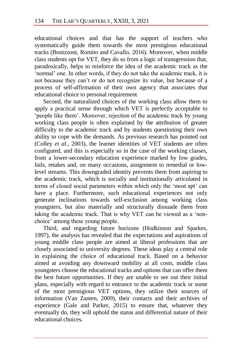educational choices and that has the support of teachers who systematically guide them towards the most prestigious educational tracks (Bonizzoni, Romito and Cavallo, 2016). Moreover, when middle class students opt for VET, they do so from a logic of transgression that, paradoxically, helps to reinforce the idea of the academic track as the 'normal' one. In other words, if they do not take the academic track, it is not because they can't or do not recognize its value, but because of a process of self-affirmation of their own agency that associates that educational choice to personal requirement.

Second, the naturalized choices of the working class allow them to apply a practical sense through which VET is perfectly acceptable to 'people like them'. Moreover, rejection of the academic track by young working class people is often explained by the attribution of greater difficulty to the academic track and by students questioning their own ability to cope with the demands. As previous research has pointed out (Colley *et al*., 2003), the learner identities of VET students are often configured, and this is especially so in the case of the working classes, from a lower-secondary education experience marked by low grades, fails, retakes and, on many occasions, assignment to remedial or lowlevel streams. This downgraded identity prevents them from aspiring to the academic track, which is socially and institutionally articulated in terms of closed social parameters within which only the 'most apt' can have a place. Furthermore, such educational experiences not only generate inclinations towards self-exclusion among working class youngsters, but also materially and structurally dissuade them from taking the academic track. That is why VET can be viewed as a 'nonchoice' among these young people.

Third, and regarding future horizons (Hodkinson and Sparkes, 1997), the analysis has revealed that the expectations and aspirations of young middle class people are aimed at liberal professions that are closely associated to university degrees. These ideas play a central role in explaining the choice of educational track. Based on a behavior aimed at avoiding any downward mobility at all costs, middle class youngsters choose the educational tracks and options that can offer them the best future opportunities. If they are unable to see out their initial plans, especially with regard to entrance to the academic track or some of the most prestigious VET options, they utilize their sources of information (Van Zanten, 2009), their contacts and their archives of experience (Gale and Parker, 2015) to ensure that, whatever they eventually do, they will uphold the status and differential nature of their educational choices.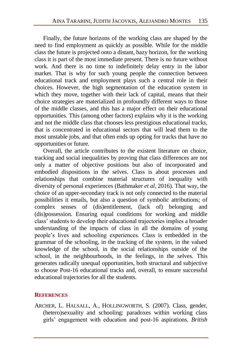Finally, the future horizons of the working class are shaped by the need to find employment as quickly as possible. While for the middle class the future is projected onto a distant, hazy horizon, for the working class it is part of the most immediate present. There is no future without work. And there is no time to indefinitely delay entry in the labor market. That is why for such young people the connection between educational track and employment plays such a central role in their choices. However, the high segmentation of the education system in which they move, together with their lack of capital, means that their choice strategies are materialized in profoundly different ways to those of the middle classes, and this has a major effect on their educational opportunities. This (among other factors) explains why it is the working and not the middle class that chooses less prestigious educational tracks, that is concentrated in educational sectors that will lead them to the most unstable jobs, and that often ends up opting for tracks that have no opportunities or future.

Overall, the article contributes to the existent literature on choice, tracking and social inequalities by proving that class differences are not only a matter of objective positions but also of incorporated and embodied dispositions in the selves. Class is about processes and relationships that combine material structures of inequality with diversity of personal experiences (Bathmaker *et al*, 2016). That way, the choice of an upper-secondary track is not only connected to the material possibilities it entails, but also a question of symbolic attributions; of complex senses of (dis)entitlement, (lack of) belonging and (dis)possession. Ensuring equal conditions for working and middle class' students to develop their educational trajectories implies a broader understanding of the impacts of class in all the domains of young people's lives and schooling experiences. Class is embedded in the grammar of the schooling, in the tracking of the system, in the valued knowledge of the school, in the social relationships outside of the school, in the neighbourhoods, in the feelings, in the selves. This generates radically unequal opportunities, both structural and subjective to choose Post-16 educational tracks and, overall, to ensure successful educational trajectories for all the students.

### **REFERENCES**

ARCHER, L. HALSALL, A., HOLLINGWORTH, S. (2007). Class, gender, (hetero)sexuality and schooling: paradoxes within working class girls' engagement with education and post-16 aspirations. *British*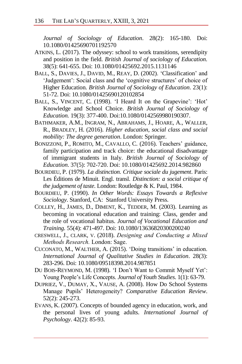*Journal of Sociology of Education*. 28(2): 165-180. Doi: [10.1080/01425690701192570](https://doi.org/10.1080/01425690701192570)

- ATKINS, L. (2017). The odyssey: school to work transitions, serendipity and position in the field. *British Journal of sociology of Education.* 38(5): 641-655. Doi: [10.1080/01425692.2015.1131146](https://doi.org/10.1080/01425692.2015.1131146)
- BALL, S., DAVIES, J., DAVID, M., REAY, D. (2002). 'Classification' and 'Judgement': Social class and the 'cognitive structures' of choice of Higher Education. *British Journal of Sociology of Education*. 23(1): 51-72. Doi: 10.1080/01425690120102854
- BALL, S., VINCENT, C. (1998). 'I Heard It on the Grapevine': 'Hot' Knowledge and School Choice. *British Journal of Sociology of Education.* 19(3): 377-400. Doi:10.1080/0142569980190307.
- BATHMAKER, A.M., INGRAM, N., ABRAHAMS, J., HOARE, A., WALLER, R., BRADLEY, H. (2016). *Higher education, social class and social mobility: The degree generation*. London: Springer.
- BONIZZONI, P., ROMITO, M., CAVALLO, C. (2016). Teachers' guidance, family participation and track choice: the educational disadvantage of immigrant students in Italy. *British Journal of Sociology of Education*. 37(5): 702-720. Doi: 10.1080/01425692.2014.982860
- BOURDIEU, P. (1979). *La distinction. Critique sociale du jugement*. Paris: Les Éditions de Minuit. Engl. transl. *Distinction: a social critique of the judgement of taste*. London: Routledge & K. Paul, 1984.
- BOURDIEU, P. (1990). *In Other Words: Essays Towards a Reflexive Sociology*. Stanford, CA: Stanford University Press.
- COLLEY, H., JAMES, D., DIMENT, K., TEDDER, M. (2003). Learning as becoming in vocational education and training: Class, gender and the role of vocational habitus. *Journal of Vocational Education and Training.* 55(4): 471-497. Doi: 10.1080/13636820300200240
- CRESWELL, J., CLARK, V. (2018). *Designing and Conducting a Mixed Methods Research.* London: Sage.
- CUCONATO, M., WALTHER, A. (2015). 'Doing transitions' in education. *International Journal of Qualitative Studies in Education*. 28(3): 283-296. Doi: 10.1080/09518398.2014.987851
- DU BOIS-REYMOND, M. (1998). 'I Don't Want to Commit Myself Yet': Young People's Life Concepts. *Journal of Youth Studies*. 1(1): 63-79.
- DUPRIEZ, V., DUMAY, X., VAUSE, A. (2008). How Do School Systems Manage Pupils' Heterogeneity? *Comparative Education Review*. 52(2): 245-273.
- EVANS, K. (2007). Concepts of bounded agency in education, work, and the personal lives of young adults. *International Journal of Psychology*. 42(2): 85-93.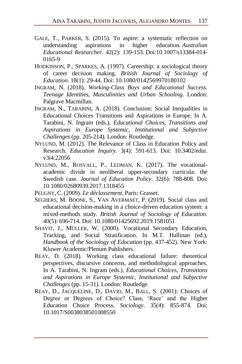- GALE, T., PARKER, S. (2015). To aspire: a systematic reflection on understanding aspirations in higher education. *[Australian](http://eprints.gla.ac.uk/view/journal_volume/Australian_Educational_Researcher.html) [Educational](http://eprints.gla.ac.uk/view/journal_volume/Australian_Educational_Researcher.html) Researcher*. 42(2): 139-153. Doi[:10.1007/s13384-014-](http://dx.doi.org/10.1007/s13384-014-0165-9) [0165-9](http://dx.doi.org/10.1007/s13384-014-0165-9)
- HODKINSON, P., SPARKES, A. (1997). Careership: a sociological theory of career decision making. *British Journal of Sociology of Education*. 18(1): 29-44. Doi[: 10.1080/0142569970180102](https://doi.org/10.1080/0142569970180102)
- INGRAM, N. (2018). *Working-Class Boys and Educational Success. Teenage Identities, Masculinities and Urban Schooling*. London: Palgrave Macmillan.
- INGRAM, N., TARABINI, A. (2018). Conclusion: Social Inequalities in Educational Choices Transitions and Aspirations in Europe. In A. Tarabini, N. Ingram (eds.), *Educational Choices, Transitions and Aspirations in Europe Systemic, Institutional and Subjective Challenges* (pp. 205-214). London: Routledge.
- NYLUND, M. (2012). The Relevance of Class in Education Policy and Research. *Education Inquiry*. 3(4): 591-613. Doi: 10.3402/edui. v3i4.22056
- NYLUND, M., ROSVALL, P., LEDMAN, K. (2017). The vocationalacademic divide in neoliberal upper-secondary curricula: the Swedish case. *Journal of Education Policy*. 32(6): 788-808. Doi: 10.1080/02680939.2017.1318455
- PEUGNY, C. (2009). *Le déclassement*. Paris: Grasset.
- SEGHERS, M. BOONE, S., VAN AVERMAET, P. (2019). Social class and educational decision-making in a choice-driven education system: a mixed-methods study. *British Journal of Sociology of Education.* 40(5): 696-714. Doi: 10.1080/01425692.2019.1581051
- SHAVIT, J., MÜLLER, W. (2000). Vocational Secondary Education, Tracking, and Social Stratification. In M.T. Hallinan (ed.), *Handbook of the Sociology of Education* (pp. 437-452). New York: Kluwer Academic/Plenum Publishers.
- REAY, D. (2018). Working class educational failure: theoretical perspectives, discursive concerns, and methodological approaches. In A. Tarabini, N. Ingram (eds.), *Educational Choices, Transitions and Aspirations in Europe Systemic, Institutional and Subjective Challenges* (pp. 15-31). London: Routledge.
- REAY, D., JACQUELINE, D., DAVID, M., BALL, S. (2001): Choices of Degree or Degrees of Choice? Class, 'Race' and the Higher Education Choice Process. *Sociology*. 35(4): 855-874. Doi: 10.1017/S0038038501008550